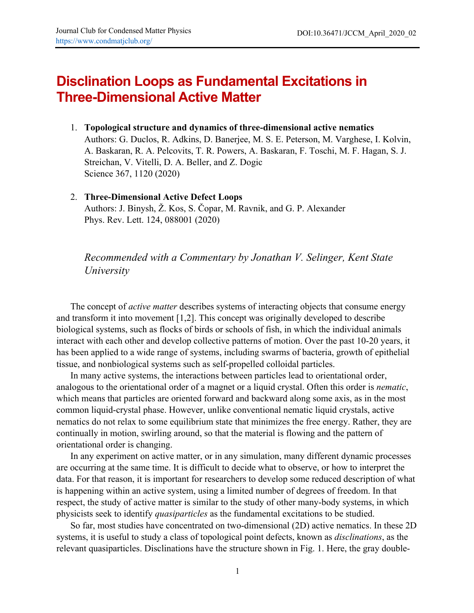## **Disclination Loops as Fundamental Excitations in Three-Dimensional Active Matter**

- 1. **Topological structure and dynamics of three-dimensional active nematics** Authors: G. Duclos, R. Adkins, D. Banerjee, M. S. E. Peterson, M. Varghese, I. Kolvin, A. Baskaran, R. A. Pelcovits, T. R. Powers, A. Baskaran, F. Toschi, M. F. Hagan, S. J. Streichan, V. Vitelli, D. A. Beller, and Z. Dogic Science 367, 1120 (2020)
- 2. **Three-Dimensional Active Defect Loops** Authors: J. Binysh, Ž. Kos, S. Čopar, M. Ravnik, and G. P. Alexander Phys. Rev. Lett. 124, 088001 (2020)

*Recommended with a Commentary by Jonathan V. Selinger, Kent State University*

The concept of *active matter* describes systems of interacting objects that consume energy and transform it into movement [1,2]. This concept was originally developed to describe biological systems, such as flocks of birds or schools of fish, in which the individual animals interact with each other and develop collective patterns of motion. Over the past 10-20 years, it has been applied to a wide range of systems, including swarms of bacteria, growth of epithelial tissue, and nonbiological systems such as self-propelled colloidal particles.

In many active systems, the interactions between particles lead to orientational order, analogous to the orientational order of a magnet or a liquid crystal. Often this order is *nematic*, which means that particles are oriented forward and backward along some axis, as in the most common liquid-crystal phase. However, unlike conventional nematic liquid crystals, active nematics do not relax to some equilibrium state that minimizes the free energy. Rather, they are continually in motion, swirling around, so that the material is flowing and the pattern of orientational order is changing.

In any experiment on active matter, or in any simulation, many different dynamic processes are occurring at the same time. It is difficult to decide what to observe, or how to interpret the data. For that reason, it is important for researchers to develop some reduced description of what is happening within an active system, using a limited number of degrees of freedom. In that respect, the study of active matter is similar to the study of other many-body systems, in which physicists seek to identify *quasiparticles* as the fundamental excitations to be studied.

So far, most studies have concentrated on two-dimensional (2D) active nematics. In these 2D systems, it is useful to study a class of topological point defects, known as *disclinations*, as the relevant quasiparticles. Disclinations have the structure shown in Fig. 1. Here, the gray double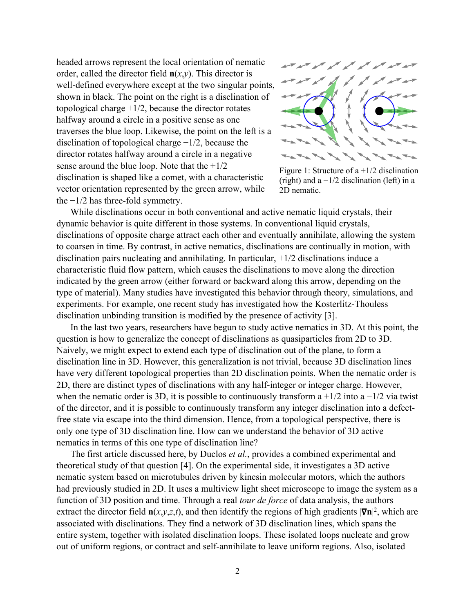headed arrows represent the local orientation of nematic order, called the director field  $n(x,y)$ . This director is well-defined everywhere except at the two singular points, shown in black. The point on the right is a disclination of topological charge  $+1/2$ , because the director rotates halfway around a circle in a positive sense as one traverses the blue loop. Likewise, the point on the left is a disclination of topological charge −1/2, because the director rotates halfway around a circle in a negative sense around the blue loop. Note that the  $+1/2$ disclination is shaped like a comet, with a characteristic vector orientation represented by the green arrow, while the −1/2 has three-fold symmetry.



Figure 1: Structure of a +1/2 disclination (right) and a  $-1/2$  disclination (left) in a 2D nematic.

While disclinations occur in both conventional and active nematic liquid crystals, their dynamic behavior is quite different in those systems. In conventional liquid crystals, disclinations of opposite charge attract each other and eventually annihilate, allowing the system to coarsen in time. By contrast, in active nematics, disclinations are continually in motion, with disclination pairs nucleating and annihilating. In particular, +1/2 disclinations induce a characteristic fluid flow pattern, which causes the disclinations to move along the direction indicated by the green arrow (either forward or backward along this arrow, depending on the type of material). Many studies have investigated this behavior through theory, simulations, and experiments. For example, one recent study has investigated how the Kosterlitz-Thouless disclination unbinding transition is modified by the presence of activity [3].

In the last two years, researchers have begun to study active nematics in 3D. At this point, the question is how to generalize the concept of disclinations as quasiparticles from 2D to 3D. Naively, we might expect to extend each type of disclination out of the plane, to form a disclination line in 3D. However, this generalization is not trivial, because 3D disclination lines have very different topological properties than 2D disclination points. When the nematic order is 2D, there are distinct types of disclinations with any half-integer or integer charge. However, when the nematic order is 3D, it is possible to continuously transform a  $+1/2$  into a  $-1/2$  via twist of the director, and it is possible to continuously transform any integer disclination into a defectfree state via escape into the third dimension. Hence, from a topological perspective, there is only one type of 3D disclination line. How can we understand the behavior of 3D active nematics in terms of this one type of disclination line?

The first article discussed here, by Duclos *et al.*, provides a combined experimental and theoretical study of that question [4]. On the experimental side, it investigates a 3D active nematic system based on microtubules driven by kinesin molecular motors, which the authors had previously studied in 2D. It uses a multiview light sheet microscope to image the system as a function of 3D position and time. Through a real *tour de force* of data analysis, the authors extract the director field  $\mathbf{n}(x, y, z, t)$ , and then identify the regions of high gradients  $|\nabla \mathbf{n}|^2$ , which are associated with disclinations. They find a network of 3D disclination lines, which spans the entire system, together with isolated disclination loops. These isolated loops nucleate and grow out of uniform regions, or contract and self-annihilate to leave uniform regions. Also, isolated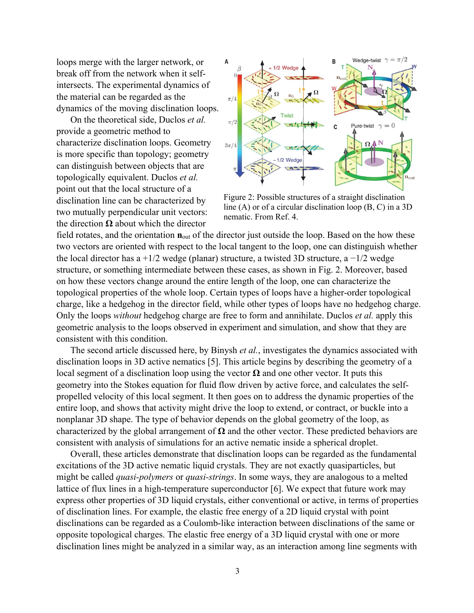loops merge with the larger network, or break off from the network when it selfintersects. The experimental dynamics of the material can be regarded as the dynamics of the moving disclination loops.

On the theoretical side, Duclos *et al.* provide a geometric method to characterize disclination loops. Geometry is more specific than topology; geometry can distinguish between objects that are topologically equivalent. Duclos *et al.* point out that the local structure of a disclination line can be characterized by two mutually perpendicular unit vectors: the direction **Ω** about which the director



Figure 2: Possible structures of a straight disclination line (A) or of a circular disclination loop (B, C) in a 3D nematic. From Ref. 4.

field rotates, and the orientation  $\mathbf{n}_{\text{out}}$  of the director just outside the loop. Based on the how these two vectors are oriented with respect to the local tangent to the loop, one can distinguish whether the local director has a +1/2 wedge (planar) structure, a twisted 3D structure, a  $-1/2$  wedge structure, or something intermediate between these cases, as shown in Fig. 2. Moreover, based on how these vectors change around the entire length of the loop, one can characterize the topological properties of the whole loop. Certain types of loops have a higher-order topological charge, like a hedgehog in the director field, while other types of loops have no hedgehog charge. Only the loops *without* hedgehog charge are free to form and annihilate. Duclos *et al.* apply this geometric analysis to the loops observed in experiment and simulation, and show that they are consistent with this condition.

The second article discussed here, by Binysh *et al.*, investigates the dynamics associated with disclination loops in 3D active nematics [5]. This article begins by describing the geometry of a local segment of a disclination loop using the vector **Ω** and one other vector. It puts this geometry into the Stokes equation for fluid flow driven by active force, and calculates the selfpropelled velocity of this local segment. It then goes on to address the dynamic properties of the entire loop, and shows that activity might drive the loop to extend, or contract, or buckle into a nonplanar 3D shape. The type of behavior depends on the global geometry of the loop, as characterized by the global arrangement of **Ω** and the other vector. These predicted behaviors are consistent with analysis of simulations for an active nematic inside a spherical droplet.

Overall, these articles demonstrate that disclination loops can be regarded as the fundamental excitations of the 3D active nematic liquid crystals. They are not exactly quasiparticles, but might be called *quasi-polymers* or *quasi-strings*. In some ways, they are analogous to a melted lattice of flux lines in a high-temperature superconductor [6]. We expect that future work may express other properties of 3D liquid crystals, either conventional or active, in terms of properties of disclination lines. For example, the elastic free energy of a 2D liquid crystal with point disclinations can be regarded as a Coulomb-like interaction between disclinations of the same or opposite topological charges. The elastic free energy of a 3D liquid crystal with one or more disclination lines might be analyzed in a similar way, as an interaction among line segments with